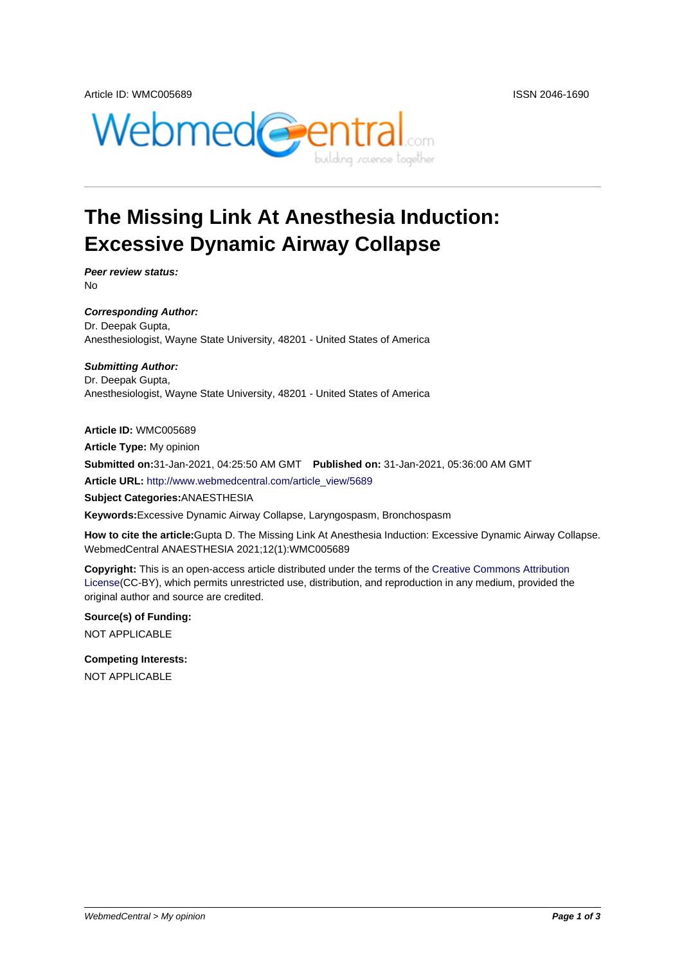



## **The Missing Link At Anesthesia Induction: Excessive Dynamic Airway Collapse**

**Peer review status:** No

**Corresponding Author:** Dr. Deepak Gupta, Anesthesiologist, Wayne State University, 48201 - United States of America

**Submitting Author:** Dr. Deepak Gupta, Anesthesiologist, Wayne State University, 48201 - United States of America

**Article ID:** WMC005689 **Article Type:** My opinion **Submitted on:**31-Jan-2021, 04:25:50 AM GMT **Published on:** 31-Jan-2021, 05:36:00 AM GMT **Article URL:** http://www.webmedcentral.com/article\_view/5689

**Subject Categories:**ANAESTHESIA

**Keywords:**Excessive Dynamic Airway Collapse, Laryngospasm, Bronchospasm

**How to cite the article:**[Gupta D. The Missing Link At Anesthes](http://www.webmedcentral.com/article_view/5689)ia Induction: Excessive Dynamic Airway Collapse. WebmedCentral ANAESTHESIA 2021;12(1):WMC005689

**Copyright:** This is an open-access article distributed under the terms of the Creative Commons Attribution License(CC-BY), which permits unrestricted use, distribution, and reproduction in any medium, provided the original author and source are credited.

**Source(s) of Funding:** [NOT AP](http://creativecommons.org/licenses/by/3.0/)PLICABLE

**Competing Interests:** NOT APPLICABLE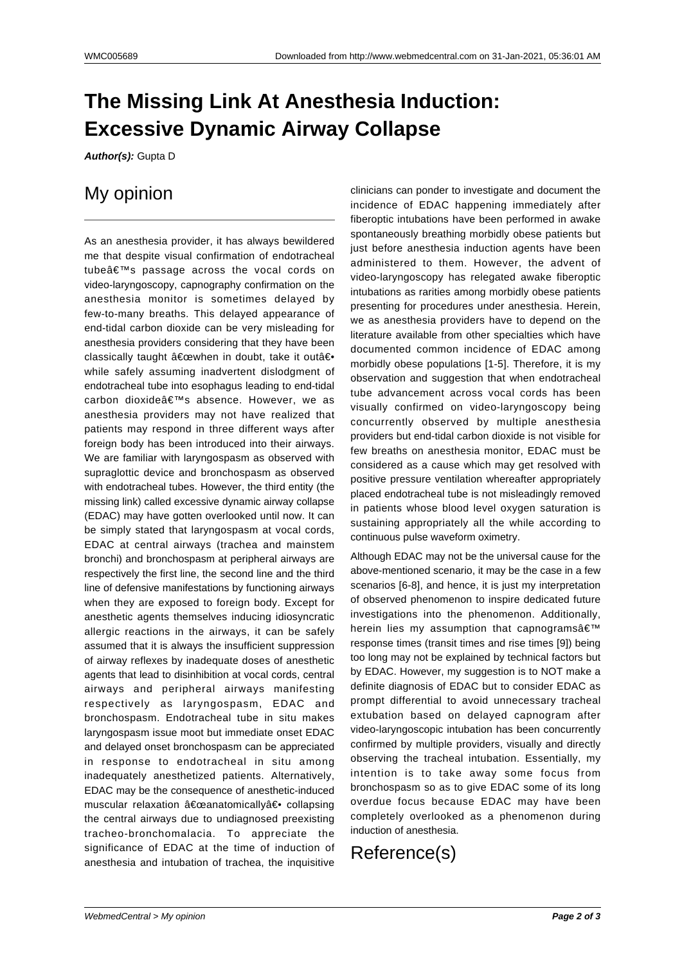## **The Missing Link At Anesthesia Induction: Excessive Dynamic Airway Collapse**

**Author(s):** Gupta D

## My opinion

As an anesthesia provider, it has always bewildered me that despite visual confirmation of endotracheal tube $\hat{a} \in \mathbb{M}$ s passage across the vocal cords on video-laryngoscopy, capnography confirmation on the anesthesia monitor is sometimes delayed by few-to-many breaths. This delayed appearance of end-tidal carbon dioxide can be very misleading for anesthesia providers considering that they have been classically taught "when in doubt, take it outâ€. while safely assuming inadvertent dislodgment of endotracheal tube into esophagus leading to end-tidal carbon dioxide's absence. However, we as anesthesia providers may not have realized that patients may respond in three different ways after foreign body has been introduced into their airways. We are familiar with laryngospasm as observed with supraglottic device and bronchospasm as observed with endotracheal tubes. However, the third entity (the missing link) called excessive dynamic airway collapse (EDAC) may have gotten overlooked until now. It can be simply stated that laryngospasm at vocal cords, EDAC at central airways (trachea and mainstem bronchi) and bronchospasm at peripheral airways are respectively the first line, the second line and the third line of defensive manifestations by functioning airways when they are exposed to foreign body. Except for anesthetic agents themselves inducing idiosyncratic allergic reactions in the airways, it can be safely assumed that it is always the insufficient suppression of airway reflexes by inadequate doses of anesthetic agents that lead to disinhibition at vocal cords, central airways and peripheral airways manifesting respectively as laryngospasm, EDAC and bronchospasm. Endotracheal tube in situ makes laryngospasm issue moot but immediate onset EDAC and delayed onset bronchospasm can be appreciated in response to endotracheal in situ among inadequately anesthetized patients. Alternatively, EDAC may be the consequence of anesthetic-induced muscular relaxation "anatomically― collapsing the central airways due to undiagnosed preexisting tracheo-bronchomalacia. To appreciate the significance of EDAC at the time of induction of anesthesia and intubation of trachea, the inquisitive

clinicians can ponder to investigate and document the incidence of EDAC happening immediately after fiberoptic intubations have been performed in awake spontaneously breathing morbidly obese patients but just before anesthesia induction agents have been administered to them. However, the advent of video-laryngoscopy has relegated awake fiberoptic intubations as rarities among morbidly obese patients presenting for procedures under anesthesia. Herein, we as anesthesia providers have to depend on the literature available from other specialties which have documented common incidence of EDAC among morbidly obese populations [1-5]. Therefore, it is my observation and suggestion that when endotracheal tube advancement across vocal cords has been visually confirmed on video-laryngoscopy being concurrently observed by multiple anesthesia providers but end-tidal carbon dioxide is not visible for few breaths on anesthesia monitor, EDAC must be considered as a cause which may get resolved with positive pressure ventilation whereafter appropriately placed endotracheal tube is not misleadingly removed in patients whose blood level oxygen saturation is sustaining appropriately all the while according to continuous pulse waveform oximetry.

Although EDAC may not be the universal cause for the above-mentioned scenario, it may be the case in a few scenarios [6-8], and hence, it is just my interpretation of observed phenomenon to inspire dedicated future investigations into the phenomenon. Additionally, herein lies my assumption that capnogramsâ $\in$ <sup>TM</sup> response times (transit times and rise times [9]) being too long may not be explained by technical factors but by EDAC. However, my suggestion is to NOT make a definite diagnosis of EDAC but to consider EDAC as prompt differential to avoid unnecessary tracheal extubation based on delayed capnogram after video-laryngoscopic intubation has been concurrently confirmed by multiple providers, visually and directly observing the tracheal intubation. Essentially, my intention is to take away some focus from bronchospasm so as to give EDAC some of its long overdue focus because EDAC may have been completely overlooked as a phenomenon during induction of anesthesia.

## Reference(s)